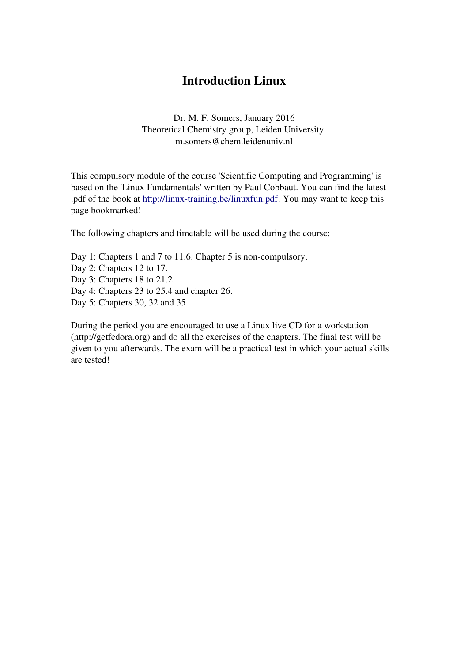## Introduction Linux

Dr. M. F. Somers, January 2016 Theoretical Chemistry group, Leiden University. m.somers@chem.leidenuniv.nl

This compulsory module of the course 'Scientific Computing and Programming' is based on the 'Linux Fundamentals' written by Paul Cobbaut. You can find the latest .pdf of the book at http://linux-training.be/linuxfun.pdf. You may want to keep this page bookmarked!

The following chapters and timetable will be used during the course:

Day 1: Chapters 1 and 7 to 11.6. Chapter 5 is non-compulsory. Day 2: Chapters 12 to 17. Day 3: Chapters 18 to 21.2. Day 4: Chapters 23 to 25.4 and chapter 26. Day 5: Chapters 30, 32 and 35.

During the period you are encouraged to use a Linux live CD for a workstation (http://getfedora.org) and do all the exercises of the chapters. The final test will be given to you afterwards. The exam will be a practical test in which your actual skills are tested!